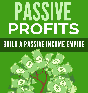# PASSI PROFITS

## **BUILD A PASSIVE INCOME EMPIRE**

 $\vec{q}$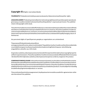#### **Copyright ©**Allrights reservedworldwide.

**YOURRIGHTS:**Thisbookisrestrictedtoyourpersonaluseonly.Itdoesnotcomewithanyother rights.

**LEGALDISCLAIMER:**Thisbookisprotectedbyinternationalcopyrightlawandmaynotbecopied,reproduced, givenaway,orusedtocreatederivativeworkswithoutthepublisher's expressed permission.The publisher retains fullcopyrights tothis book.

Theauthorhasmadeeveryreasonableefforttobeasaccurateandcompleteaspossibleinthecreationofthisbo okandtoensurethattheinformationprovidedisfreefromerrors;however,theauthor/publisher/resellerass umesnoresponsibilityforerrors,omissions,orcontraryinterpretationofthesubjectmatterhereinanddoesn otwarrantorrepresentatanytimethatthecontentswithinareaccurateduetotherapidlychanging nature of theInternet.

Any perceived slights of specificpersons,peoples,or organizations are unintentional.

Thepurposeofthisbookistoeducateandthere arenoguaranteesofincome,salesorresultsimplied.Thepublisher/author/resellercanthereforenotbehelda ccountableforanypoorresultsyoumayattainwhenimplementingthetechniquesor whenfollowing anyguidelines setoutfor you inthis book.

Anyproduct,website,andcompanynamesmentionedinthisreportarethetrademarksorcopyrightpropertie softheirrespectiveowners.Theauthor/publisher/resellerarenotassociatedoraffiliatedwiththeminanyway .Nordoesthereferredproduct,website,andcompanynamessponsor,endorse,orapprove this product.

**COMPENSATIONDISCLOSURE:**Unlessotherwiseexpresslystated,youshouldassumethatthelinkscontaine dinthisbookmaybeaffiliatelinksandeithertheauthor/publisher/resellerwillearncommissionifyouclickont hemandbuytheproduct/servicementionedinthisbook.However,theauthor/publisher/resellerdisclaiman yliabilitythatmayresultfromyourinvolvementwithanysuchwebsites/products.Youshouldperformduedilig encebeforebuyingmentionedproducts or services.

Thisconstitutestheentirelicenseagreement.Anydisputesortermsnotdiscussedinthis agreementare atthe sole discretionof the publisher.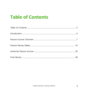## **Table of Contents**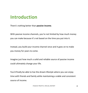## **Introduction**

There's nothing better than **passive income**.

With passive income channels, you're not limited by how much money you can make because it's not based on the time you put into it.

Instead, you build your income channel once and it goes on to make you money for years to come.

Imagine just how much a solid and reliable source of passive income could ultimately change your life.

You'd finally be able to live the dream lifestyle where you can enjoy time with friends and family while maintaining a viable and consistent source of income.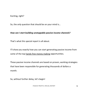Exciting, right?

So, the only question that should be on your mind is…

#### *How can I start building unstoppable passive income channels?*

That's what this special report is all about.

I'll show you exactly how you can start generating passive income from some of the top hands-free money making opportunities.

These passive income channels are based on proven, working strategies that have been responsible for generating thousands of dollars a month.

So, without further delay, let's begin!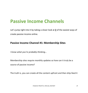## **Passive Income Channels**

Let's jump right into it by taking a closer look at **2** of the easiest ways of create passive income online.

#### **Passive Income Channel #1: Membership Sites**

*I know what you're probably thinking…*

Membership sites require monthly updates so how can it truly be a source of passive income?

The truth is, you can create all the content upfront and then drip-feed it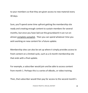to your members so that they are given access to new material every 30 days.

Sure, you'll spend some time upfront getting the membership site ready and creating enough content to sustain members for several months, but once you have laid out the groundwork it can run on almost complete autopilot. Then you can spend whatever time you wish working on new content for a future update.

Membership sites can also be set up where it simply provides access to fresh content on a limited cycle, such as a 6-month membership site that ends with a final update.

For example, a subscriber would join and be able to access content from month 1. Perhaps this is a series of eBooks, or video training.

Then, that subscriber would then pay for access to the second month's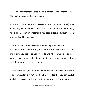content. Their member's area would automatically update to include the next month's content and so on.

By the end of the membership cycle (month 6, in this example), they would pay one final time to receive access to the remaining training tools. Then once that final month has been billed, no further content is provided and billing ends.

There are many ways to create membership sites that can run on autopilot, or that require very little work. It's entirely up to you how much time you spend on your website and whether you decide to create most content upfront and limit its cycle, or develop a continuity website that needs regular updates.

You can also save yourself time and money by purchasing pre-made digital products from [PLR membership websites](https://www.indigitalworks.com/) that you can publish and charge access to. These require no upfront work whatsoever.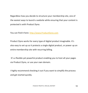Regardless how you decide to structure your membership site, one of the easiest ways to launch a website while ensuring that your content is protected is with Product Dyno.

You can find it here: [http://www.ProductDyno.com](http://www.productdyno.com/)

Product Dyno works for every type of digital product imaginable. It's also easy to set up so it protects a single digital product, or power up an entire membership site with recurring billing.

It's a flexible yet powerful product enabling you to host all your pages via Product Dyno, or use your own domain.

I highly recommend checking it out if you want to simplify the process and get started quickly.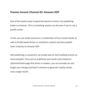#### **Passive Income Channel #2: Amazon KDP**

One of the easiest ways to generate passive income is by publishing books on Amazon. This is something anyone can do even if you're not a prolific writer.

In fact, you can easily outsource a combination of low content books as well as Kindle based fiction or nonfiction content and then publish them instantly on Amazon KDP.

Self-publishing is a powerful, yet simple way to start building income on total autopilot. Once you've published your books and created an optimized book page that drives in readers, you can virtually set and forget your listings and they'll continue to generate royalty checks every single month.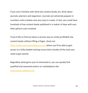If you aren't familiar with what low content books are, think about journals, planners and organizers. Journals are extremely popular in countless niche markets and very easy to create. In fact, you could have hundreds of low content books published in a matter of days with very little upfront costs involved.

If you'd like to find out about a proven way to create profitable low content books without lifting a finger, check out [http://www.LowContentMastery.com](http://www.lowcontentmastery.com/) where you'll be able to gain access to a fully-loaded training course that includes all the tools you need to get started.

Regardless what genre you're interested in, you can quickly find qualified and seasoned writers on marketplaces like [http://www.UpWork.com](http://www.upwork.com/)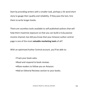Start by providing writers with a smaller task, perhaps a 5k word short story to gauge their quality and reliability. If they pass the test, hire them to write longer books.

There are countless tools available to self-published authors that will help them maximize exposure so that you can build a truly passive income channel, but did you know that your Amazon author central page is one of the most **valuable marketing tools** of all?

With an optimized Author Central account, you'll be able to:

- •Track your book sales.
- •Read and respond to book reviews.
- •Allow readers to follow you on Amazon.
- •Add an Editorial Reviews section to your books.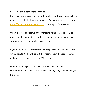#### **Create Your Author Central Account**

Before you can create your Author Central account, you'll need to have at least one published book on Amazon. One you do, head on over to <https://authorcentral.amazon.com/> to set up your free account.

When it comes to maximizing your income with KDP, you'll want to publish books frequently so work on creating a team that consists of your writers, an editor, and a cover designer.

If you really want to **automate the entire process,** you could also hire a virtual assistant who will collect the material from the rest of the team and publish your books via your KDP account.

Otherwise, once you have a team in place, you'll be able to continuously publish new stories while spending very little time on your business.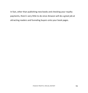In fact, other than publishing new books and checking your royalty payments, there's very little to do since Amazon will do a great job at attracting readers and funneling buyers onto your book pages.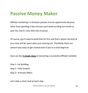## **Passive Money Maker**

Affiliate marketing is a fantastic passive income opportunity because other than spending a few minutes each week sending out emails to your list, there's very little else involved.

Of course, you'll need to build that list first and that's where the bulk of your time will be spent when just starting out. Thankfully there are several easy ways to get started even if you're a total beginner.

Here are the **3 simple steps** to becoming a successful affiliate marketer.

Step 1: List Building

Step 2: Tribe Growth

Step 3: Promote Offers

*Let's take a closer look at each step.*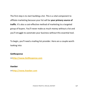The first step is to start building a list. This is a vital component to affiliate marketing because your list will be **your primary source of traffic**. It's also a cost-effective method of marketing to a targeted group of buyers. You'll never make as much money without a list and you'll struggle to automate your business without this essential tool.

To begin, you'll need a mailing list provider. Here are a couple worth looking into:

#### **GetResponse**

**>[>http://www.GetResponse.com](http://www.getresponse.com/)**

**Aweber**

**>[>http://www.Aweber.com](http://www.aweber.com/)**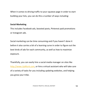When it comes to driving traffic to your squeeze page in order to start building your lists, you can do this a number of ways including:

#### **Social Marketing**

This includes Facebook ads, boosted posts, Pinterest paid promotions or Instagram ads.

Social marketing can be time consuming and if you haven't done it before it also carries a bit of a learning curve in order to figure out the best kinds of ads for each community, as well as how to maximize exposure.

Thankfully, you can easily hire a social media manager on sites like [http://www.UpWork.com,](http://www.upwork.com/) or hire a virtual assistant who will take care of a variety of tasks for you including updating websites, and helping you grow your tribe.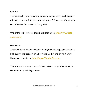#### **Solo Ads**

This essentially involves paying someone to mail their list about your offers to drive traffic to your squeeze page. Safe ads are often a very cost effective, fast way of building a list.

One of the top providers of solo ads is found at: [https://www.safe](https://www.safe-swaps.com/)[swaps.com/](https://www.safe-swaps.com/) 

#### **Giveaways**

You could reach a wide audience of targeted buyers just by creating a high quality short report on a hot niche market and giving it away through a campaign on [http://www.WarriorPlus.com](http://www.warriorplus.com/) 

This is one of the easiest ways to build a list at very little cost while simultaneously building a brand.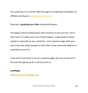You could also run a similar offer through its competing marketplace of affiliates and buyers, [http://www.JVZoo.com](http://www.jvzoo.com/) 

Step two is **growing your tribe** of potential buyers.

This begins with providing them with incentive to join your list. You'll then want to create some sort of lead magnet—a giveaway to entice people to subscribe to your email list—and a squeeze page with your opt-in box that allows people to enter their name and email address to subscribe to your list.

If you aren't sure how to set up a squeeze page, you can cut out all of the work by signing up for a service such as:

#### **LeadPages**

**>[>http://www.LeadPages.net](http://www.leadpages.net/)**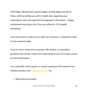Lead Pages will generate squeeze pages, landing pages and opt-in forms, while providing you with in-depth data regarding your subscription rates and important demographic information. I highly recommend investing in this if you can afford to. It'll simplify everything.

You'll also want to make sure to offer an incentive or "subscriber bribe" on your squeeze page.

If you've never heard of an incentive offer before, it's basically a giveaway that entices visitors into subscribing to your list to gain access to more information.

You could offer short reports, or quickly repurpose PLR content from reliable providers like indigitalworks.com by:

• Renaming the product.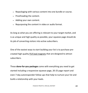- Repackaging with various content into one bundle or course.
- Proofreading the content.
- Adding your own content.
- Repurposing the content in video or audio format.

As long as what you are offering is relevant to your target market, and is as unique and high quality as possible, your squeeze page should do its job of converting visitors into active subscribers.

One of the easiest ways to start building your list is to purchase precreated high quality [PLR lead magnets](https://www.idplr.com/) that are designed to attract subscribers.

These **done-for-you packages** come with everything you need to get started including a responsive squeeze page, 20-25 page report and even 7-day autoresponder follow ups that help to nurture your list and build a relationship with your leads.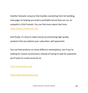Another fantastic resource that handles everything from list building, lead pages to helping you build a profitable funnel that can run on autopilot is Click Funnels. You can find more about that here: [https://www.clickfunnels.com](https://www.clickfunnels.com/) 

And finally, it's time to make money by promoting high-quality products that you believe your subscribers will appreciate.

You can find products on many different marketplaces, but if you're looking for instant commissions instead of having to wait for payments you'll want to create accounts at:

[http://www.JVZoo.com](http://www.jvzoo.com/) 

[http://www.WarriorPlus.com](http://www.warriorplus.com/)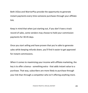Both JVZoo and WarriorPlus provide the opportunity to generate instant payments every time someone purchases through your affiliate link.

Keep in mind that when just starting out, if you don't have a track record of sales, some vendors may choose to hold your commission payments for 30-45 days.

Once you start selling and have proven that you're able to generate sales while keeping refunds down, you'll find it easier to get approved for instant commissions.

When it comes to maximizing your income with affiliate marketing, the key is to offer a bonus - something extra - that adds instant value to a purchase. That way, subscribers are more likely to purchase through your link than through a competitor who isn't offering anything more.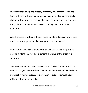In affiliate marketing, the strategy of offering bonuses is used all the time. Affiliates will package up auxiliary components and other tools that are relevant to the products they are promoting, and then present it to potential customers as a way of standing apart from other marketers.

And there is no shortage of bonus content and products you can create for virtually any type of affiliate campaign or niche market.

Simply find a missing link in the product and create a bonus product around fulfilling that need or extending the value of the product in some way.

Your bonus offer also needs to be either exclusive, limited or both. In many cases, your bonus offer will be the driving forcebehind whether a potential customer chooses to purchase the product through your affiliate link, or someone else's.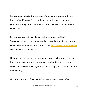It's also very important to use strong *'urgency motivators'* with every bonus offer. If people feel that there's no rush, chances are they'll continue looking around for a better offer, so make sure your bonus stands out.

So, how can you set up and manage bonus offers like this? You could manually set up download pages and track affiliates, or you could make it easier and use a product like [www.ConversionGorilla.com](http://www.conversiongorilla.com/) that simplifies the entire process.

Not only can you create landing and review pages but you can set up bonus products for just about any type of offer. Plus, they even give you some free bonus packages that you can slap your name on and use immediately.

*Here are a few other trusted affiliate networks worth exploring:*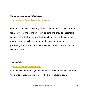#### **Commission Junction (CJ Affiliate)**

**>[>http://www.CommissionJunction.com](http://www.commissionjunction.com/)**

Otherwise known as "CJ.com", Commission Junction has been around for many years and is known to pay on time and provide unbeatable support. They feature hundreds of merchants across the board and regardless of the niche market or subject you are interested in promoting, they are bound to have a few lucrative choices from within their directory.

#### **Share A Sale**

#### **>[>http://www.ShareASale.com](http://www.shareasale.com/)**

ShareASale handles all payments on behalf of the merchants and offers thousands of products to promote. It's a great place to start.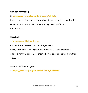#### **Rakuten Marketing**

#### **>[>https://www.rakutenmarketing.com/affiliate](https://www.rakutenmarketing.com/affiliate)**

Rakuten Marketing is an ever-growing affiliate marketplace and with it comes a great variety of lucrative and high paying affiliate opportunities.

#### **ClickBank**

**>[>http://www.ClickBank.com](http://www.clickbank.com/)**

ClickBank is an *internet* retailer of *top* quality

lifestyle *products* allowing manufacturers to sell their *products* &

digital *marketers* to promote them. They've been online for more than 18 years.

#### **Amazon Affiliate Program**

**>[>https://affiliate-program.amazon.com/welcome](https://affiliate-program.amazon.com/welcome)**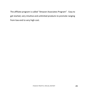The affiliate program is called "Amazon Associates Program". Easy to get started, very intuitive and unlimited products to promote ranging from low-end to very high cost.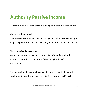## **Authority Passive Income**

There are **2** main steps involved in building an authority niche website:

#### **Create a unique brand.**

This involves everything from a catchy logo or catchphrase, setting up a blog using WordPress, and deciding on your website's theme and voice.

#### **Create outstanding content.**

Authority blogs are known for high-quality, informative and wellwritten content that is unique and full of thoughtful, useful information.

This means that if you aren't planning to write the content yourself you'll want to look for seasoned ghostwriters in your specific niche.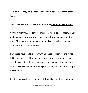That ensures they have experience and first-hand knowledge of the topics.

You always want to write content that does**3 very important things**:

**Connect with your readers.** Your content needs to resonate with your audience so they begin to see you as an authority or expert on the topic. This means that your content needs to be well-researched, actionable and comprehensive.

**Persuades your readers.** Your writing needs to motivate them into taking action, even if that action simply involves returning to your website again. In order to persuade readers, you need to earn their trust and convince them, through your content, that you are an expert on the topic.

**Excites your readers.** Your content should be something your readers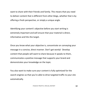want to share with their friends and family. This means that you need to deliver content that is different from other blogs, whether that is by offering a fresh perspective, or simply a unique angle.

Identifying your content's objective before you start writing is extremely important and will ensure that your material is direct, informative and hits the target.

Once you know what your objective is, concentrate on conveying your message in a concise, direct manner. Don't get wordy! Develop content that people will want to share because it speaks to them, communicates a positive message that supports your brand and demonstrates your knowledge on the topic.

You also want to make sure your content is fully optimized for the search engines so that you're able to drive targeted traffic to your site automatically.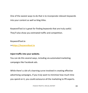One of the easiest ways to do that is to incorporate relevant keywords into your content as well as blog titles.

KeywordTool.io is great for finding keywords that are truly useful. They'll also show you estimated traffic and competition.

**KeywordTool.io**

**>[>https://keywordtool.io](https://keywordtool.io/)**

#### **Inject traffic into your website.**

You can do this several ways, including via automated marketing campaigns like Facebook ads.

While there's a bit of a learning curve involved in creating effective advertising campaigns, if you truly want to minimize how much time you spend on it, you could outsource all the marketing to PR experts.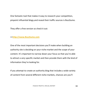One fantastic tool that makes it easy to research your competition, pinpoint influential blogs,and reveal their traffic sources is BuzzSumo.

They offer a free version so check it out:

#### **>[>http://www.BuzzSumo.com](http://www.buzzsumo.com/)**

One of the most important decisions you'll make when building an authority site is deciding on your niche market and the scope of your content. It's important to narrow down your focus so that you're able to attract a very specific market and then provide them with the kind of information they're looking for.

If you attempt to create an authority blog that includes a wide variety of content from several different niche markets, chances are you'll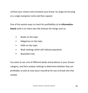confuse your visitors and convolute your brand. So, begin by focusing on a single evergreen niche and then expand.

One of the easiest ways to check for profitability of an **informationbased** niche is to check sites like Amazon for things such as:

- Books on the topic
- Magazines on the topic
- DVDs on the topic
- Book rankings which will indicate popularity
- Bestsellers lists

You want to see a lot of different books and products in your chosen category, and then analyze rankings to determine whether they are profitable, as well as how easy it would be for you to break into that market.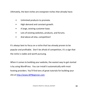Ultimately, the best niches are evergreen niches that already have:

- Unlimited products to promote.
- High demand and constant growth.
- A large, existing customer base.
- Lots of existing websites, products, and forums.
- And above all else, competition!

It's always best to focus on a niche that has already proven to be popular and profitable. Don't be afraid of competition, it's a sign that the niche is viable and worth pursuing.

When it comes to building your website, the easiest way to get started is by using WordPress. You can install it automatically with most hosting providers. You'll find tons of great tutorials for building your site at [http://www.WPBeginner.com](http://www.wpbeginner.com/)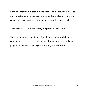Building a profitable authority niche site will take time. You'll want to outsource (or write) enough content to feed your blog for months to come while always optimizing your content for the search engines.

#### **The key to success with authority blogs is to be consistent.**

Consider hiring someone to maintain the website by publishing fresh content on a regular basis while responding to comments, updating plugins and helping to move your site along. It's well worth it!